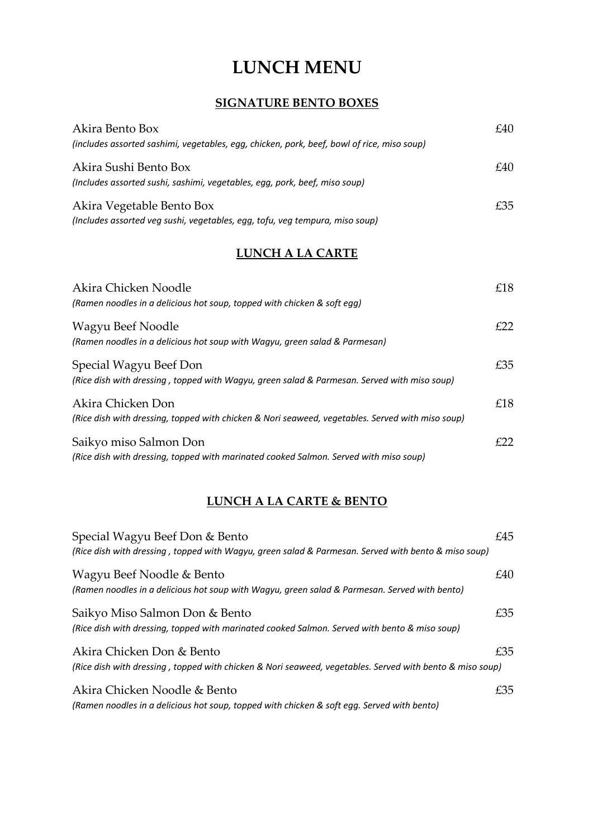# **LUNCH MENU**

### **SIGNATURE BENTO BOXES**

| Akira Bento Box                                                                            | £40 |
|--------------------------------------------------------------------------------------------|-----|
| (includes assorted sashimi, vegetables, egg, chicken, pork, beef, bowl of rice, miso soup) |     |
| Akira Sushi Bento Box                                                                      | £40 |
| (Includes assorted sushi, sashimi, vegetables, egg, pork, beef, miso soup)                 |     |
| Akira Vegetable Bento Box                                                                  | £35 |
| (Includes assorted veg sushi, vegetables, egg, tofu, veg tempura, miso soup)               |     |

### **LUNCH A LA CARTE**

| Akira Chicken Noodle<br>(Ramen noodles in a delicious hot soup, topped with chicken & soft eag)                       | £18 |
|-----------------------------------------------------------------------------------------------------------------------|-----|
| Wagyu Beef Noodle<br>(Ramen noodles in a delicious hot soup with Wagyu, green salad & Parmesan)                       | f22 |
| Special Wagyu Beef Don<br>(Rice dish with dressing, topped with Wagyu, green salad & Parmesan. Served with miso soup) | £35 |
| Akira Chicken Don<br>(Rice dish with dressing, topped with chicken & Nori seaweed, vegetables. Served with miso soup) | £18 |
| Saikyo miso Salmon Don<br>(Rice dish with dressing, topped with marinated cooked Salmon. Served with miso soup)       | £22 |

## **LUNCH A LA CARTE & BENTO**

| Special Wagyu Beef Don & Bento<br>(Rice dish with dressing, topped with Wagyu, green salad & Parmesan. Served with bento & miso soup) | £45 |
|---------------------------------------------------------------------------------------------------------------------------------------|-----|
| Wagyu Beef Noodle & Bento<br>(Ramen noodles in a delicious hot soup with Wagyu, green salad & Parmesan. Served with bento)            | £40 |
| Saikyo Miso Salmon Don & Bento<br>(Rice dish with dressing, topped with marinated cooked Salmon. Served with bento & miso soup)       | £35 |
| Akira Chicken Don & Bento<br>(Rice dish with dressing, topped with chicken & Nori seaweed, vegetables. Served with bento & miso soup) | £35 |
| Akira Chicken Noodle & Bento<br>(Ramen noodles in a delicious hot soup, topped with chicken & soft egg. Served with bento)            | £35 |